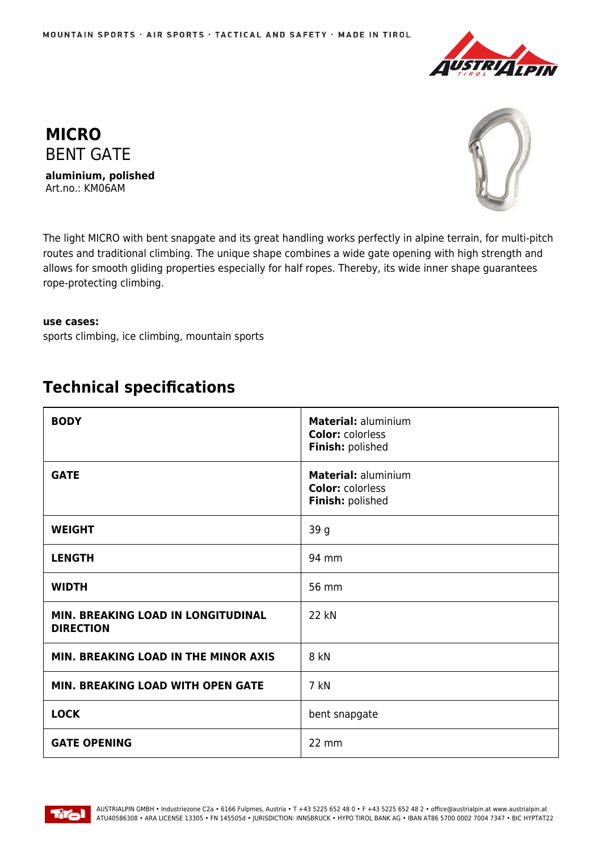



**aluminium, polished** Art.no.: KM06AM



The light MICRO with bent snapgate and its great handling works perfectly in alpine terrain, for multi-pitch routes and traditional climbing. The unique shape combines a wide gate opening with high strength and allows for smooth gliding properties especially for half ropes. Thereby, its wide inner shape guarantees rope-protecting climbing.

## **use cases:**

sports climbing, ice climbing, mountain sports

## **Technical specifications**

| <b>BODY</b>                                            | Material: aluminium<br><b>Color: colorless</b><br>Finish: polished |
|--------------------------------------------------------|--------------------------------------------------------------------|
| <b>GATE</b>                                            | Material: aluminium<br><b>Color: colorless</b><br>Finish: polished |
| <b>WEIGHT</b>                                          | 39 g                                                               |
| <b>LENGTH</b>                                          | 94 mm                                                              |
| <b>WIDTH</b>                                           | 56 mm                                                              |
| MIN. BREAKING LOAD IN LONGITUDINAL<br><b>DIRECTION</b> | 22 kN                                                              |
| MIN. BREAKING LOAD IN THE MINOR AXIS                   | 8 kN                                                               |
| MIN. BREAKING LOAD WITH OPEN GATE                      | 7 kN                                                               |
| <b>LOCK</b>                                            | bent snapgate                                                      |
| <b>GATE OPENING</b>                                    | 22 mm                                                              |